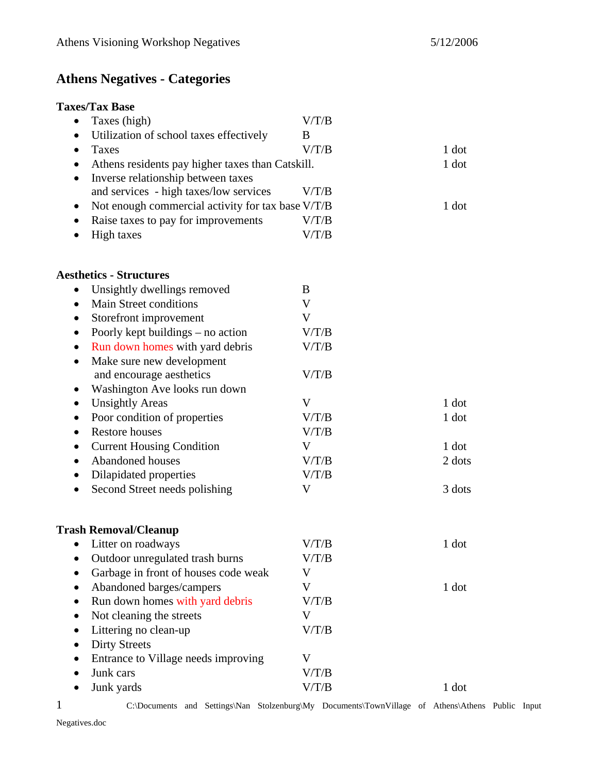# **Athens Negatives - Categories**

## **Taxes/Tax Base**

| Taxes (high)<br>$\bullet$                            | V/T/B |        |
|------------------------------------------------------|-------|--------|
| Utilization of school taxes effectively<br>$\bullet$ | B     |        |
| <b>Taxes</b><br>$\bullet$                            | V/T/B | 1 dot  |
| Athens residents pay higher taxes than Catskill.     |       | 1 dot  |
| Inverse relationship between taxes<br>$\bullet$      |       |        |
| and services - high taxes/low services               | V/T/B |        |
| Not enough commercial activity for tax base V/T/B    |       | 1 dot  |
| Raise taxes to pay for improvements                  | V/T/B |        |
| <b>High taxes</b>                                    | V/T/B |        |
| <b>Aesthetics - Structures</b>                       |       |        |
| Unsightly dwellings removed<br>$\bullet$             | B     |        |
| Main Street conditions<br>$\bullet$                  | V     |        |
| Storefront improvement<br>$\bullet$                  | V     |        |
| Poorly kept buildings – no action                    | V/T/B |        |
| Run down homes with yard debris<br>٠                 | V/T/B |        |
| Make sure new development<br>$\bullet$               |       |        |
| and encourage aesthetics                             | V/T/B |        |
| Washington Ave looks run down                        |       |        |
| <b>Unsightly Areas</b>                               | V     | 1 dot  |
| Poor condition of properties<br>$\bullet$            | V/T/B | 1 dot  |
| <b>Restore houses</b><br>$\bullet$                   | V/T/B |        |
| <b>Current Housing Condition</b>                     | V     | 1 dot  |
| Abandoned houses<br>$\bullet$                        | V/T/B | 2 dots |
| Dilapidated properties                               | V/T/B |        |
| Second Street needs polishing                        | V     | 3 dots |
| <b>Trash Removal/Cleanup</b>                         |       |        |
| Litter on roadways<br>٠                              | V/T/B | 1 dot  |
| Outdoor unregulated trash burns<br>$\bullet$         | V/T/B |        |
| Garbage in front of houses code weak                 | V     |        |
| Abandoned barges/campers<br>$\bullet$                | V     | 1 dot  |
| Run down homes with yard debris                      | V/T/B |        |
| Not cleaning the streets                             | V     |        |
| Littering no clean-up                                | V/T/B |        |
| <b>Dirty Streets</b>                                 |       |        |
| Entrance to Village needs improving                  | V     |        |
| Junk cars                                            | V/T/B |        |
| Junk yards                                           | V/T/B | 1 dot  |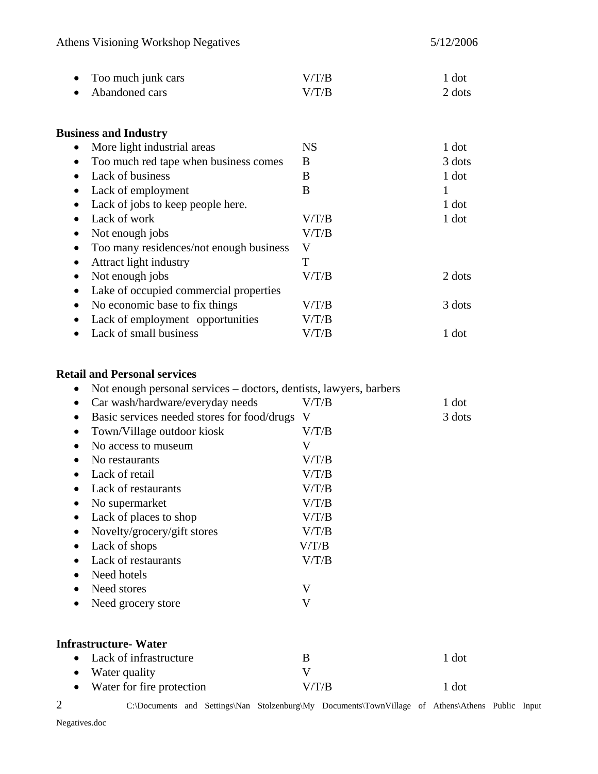| $\bullet$ Too much junk cars | V/T/B | 1 dot  |
|------------------------------|-------|--------|
| • Abandoned cars             | V/T/B | 2 dots |

| <b>Business and Industry</b> |  |
|------------------------------|--|
|------------------------------|--|

| More light industrial areas             | <b>NS</b> | 1 dot  |
|-----------------------------------------|-----------|--------|
| Too much red tape when business comes   | B         | 3 dots |
| Lack of business                        | B         | 1 dot  |
| Lack of employment                      | B         |        |
| Lack of jobs to keep people here.       |           | 1 dot  |
| Lack of work                            | V/T/B     | 1 dot  |
| Not enough jobs                         | V/T/B     |        |
| Too many residences/not enough business | V         |        |
| Attract light industry                  | Т         |        |
| Not enough jobs                         | V/T/B     | 2 dots |
| Lake of occupied commercial properties  |           |        |
| No economic base to fix things          | V/T/B     | 3 dots |
| Lack of employment opportunities        | V/T/B     |        |
| Lack of small business                  | V/T/B     | 1 dot  |
|                                         |           |        |

#### **Retail and Personal services**

| ٠              | Not enough personal services - doctors, dentists, lawyers, barbers                               |                           |        |  |
|----------------|--------------------------------------------------------------------------------------------------|---------------------------|--------|--|
| ٠              | Car wash/hardware/everyday needs                                                                 | V/T/B                     | 1 dot  |  |
| ٠              | Basic services needed stores for food/drugs                                                      | V                         | 3 dots |  |
| $\bullet$      | Town/Village outdoor kiosk                                                                       | V/T/B                     |        |  |
|                | No access to museum                                                                              | V                         |        |  |
| $\bullet$      | No restaurants                                                                                   | V/T/B                     |        |  |
| $\bullet$      | Lack of retail                                                                                   | V/T/B                     |        |  |
|                | Lack of restaurants                                                                              | V/T/B                     |        |  |
|                | No supermarket                                                                                   | V/T/B                     |        |  |
|                | Lack of places to shop                                                                           | V/T/B                     |        |  |
|                | Novelty/grocery/gift stores                                                                      | V/T/B                     |        |  |
| ٠              | Lack of shops                                                                                    | V/T/B                     |        |  |
| $\bullet$      | Lack of restaurants                                                                              | V/T/B                     |        |  |
| $\bullet$      | Need hotels                                                                                      |                           |        |  |
| $\bullet$      | Need stores                                                                                      | $\boldsymbol{\mathrm{V}}$ |        |  |
| $\bullet$      | Need grocery store                                                                               | $\mathbf V$               |        |  |
|                | <b>Infrastructure-Water</b>                                                                      |                           |        |  |
| $\bullet$      | Lack of infrastructure                                                                           | B                         | 1 dot  |  |
| $\bullet$      | Water quality                                                                                    | $\rm V$                   |        |  |
| ٠              | Water for fire protection                                                                        | V/T/B                     | 1 dot  |  |
| $\overline{2}$ | C:\Documents and Settings\Nan Stolzenburg\My Documents\TownVillage of Athens\Athens Public Input |                           |        |  |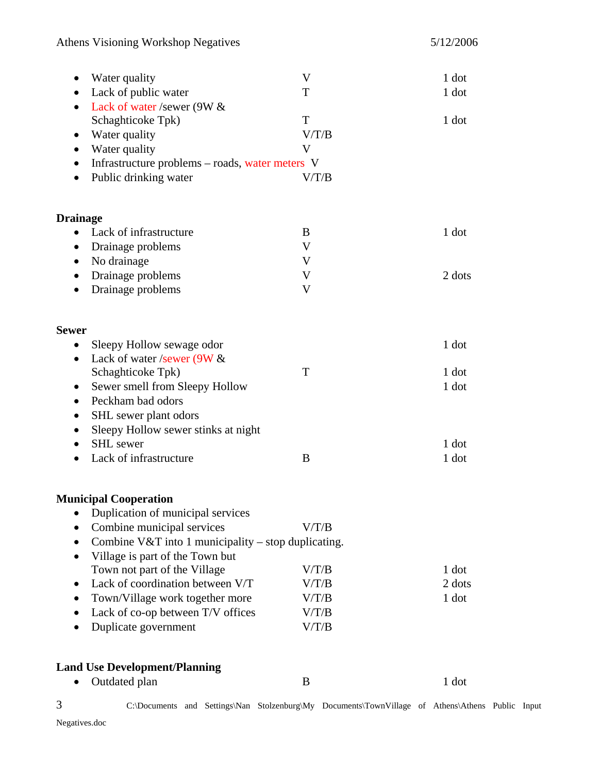| Water quality<br>$\bullet$                                       | V                                                                                                | 1 dot  |
|------------------------------------------------------------------|--------------------------------------------------------------------------------------------------|--------|
| Lack of public water                                             | T                                                                                                | 1 dot  |
| Lack of water /sewer (9W &                                       |                                                                                                  |        |
| Schaghticoke Tpk)                                                | T                                                                                                | 1 dot  |
| Water quality                                                    | V/T/B                                                                                            |        |
| Water quality<br>$\bullet$                                       | V                                                                                                |        |
| Infrastructure problems - roads, water meters V<br>$\bullet$     |                                                                                                  |        |
| Public drinking water<br>$\bullet$                               | V/T/B                                                                                            |        |
|                                                                  |                                                                                                  |        |
| <b>Drainage</b>                                                  | $\bf{B}$                                                                                         |        |
| Lack of infrastructure<br>$\bullet$                              |                                                                                                  | 1 dot  |
| Drainage problems<br>$\bullet$                                   | V                                                                                                |        |
| No drainage<br>$\bullet$                                         | V                                                                                                |        |
| Drainage problems                                                | $\mathbf V$                                                                                      | 2 dots |
| Drainage problems                                                | V                                                                                                |        |
| <b>Sewer</b>                                                     |                                                                                                  |        |
| Sleepy Hollow sewage odor<br>$\bullet$                           |                                                                                                  | 1 dot  |
| Lack of water /sewer (9W &<br>$\bullet$                          |                                                                                                  |        |
| Schaghticoke Tpk)                                                | T                                                                                                | 1 dot  |
| Sewer smell from Sleepy Hollow                                   |                                                                                                  | 1 dot  |
| Peckham bad odors<br>$\bullet$                                   |                                                                                                  |        |
| SHL sewer plant odors<br>$\bullet$                               |                                                                                                  |        |
| Sleepy Hollow sewer stinks at night                              |                                                                                                  |        |
| <b>SHL</b> sewer<br>$\bullet$                                    |                                                                                                  | 1 dot  |
| Lack of infrastructure                                           | $\bf{B}$                                                                                         | 1 dot  |
| <b>Municipal Cooperation</b>                                     |                                                                                                  |        |
| Duplication of municipal services                                |                                                                                                  |        |
| Combine municipal services                                       | V/T/B                                                                                            |        |
| Combine V&T into 1 municipality – stop duplicating.<br>$\bullet$ |                                                                                                  |        |
| Village is part of the Town but<br>$\bullet$                     |                                                                                                  |        |
| Town not part of the Village                                     | V/T/B                                                                                            | 1 dot  |
| Lack of coordination between V/T<br>$\bullet$                    | V/T/B                                                                                            | 2 dots |
| Town/Village work together more<br>$\bullet$                     | V/T/B                                                                                            | 1 dot  |
| Lack of co-op between T/V offices                                | V/T/B                                                                                            |        |
| Duplicate government                                             | V/T/B                                                                                            |        |
|                                                                  |                                                                                                  |        |
| <b>Land Use Development/Planning</b>                             |                                                                                                  |        |
| Outdated plan                                                    | B                                                                                                | 1 dot  |
| 3                                                                | C:\Documents and Settings\Nan Stolzenburg\My Documents\TownVillage of Athens\Athens Public Input |        |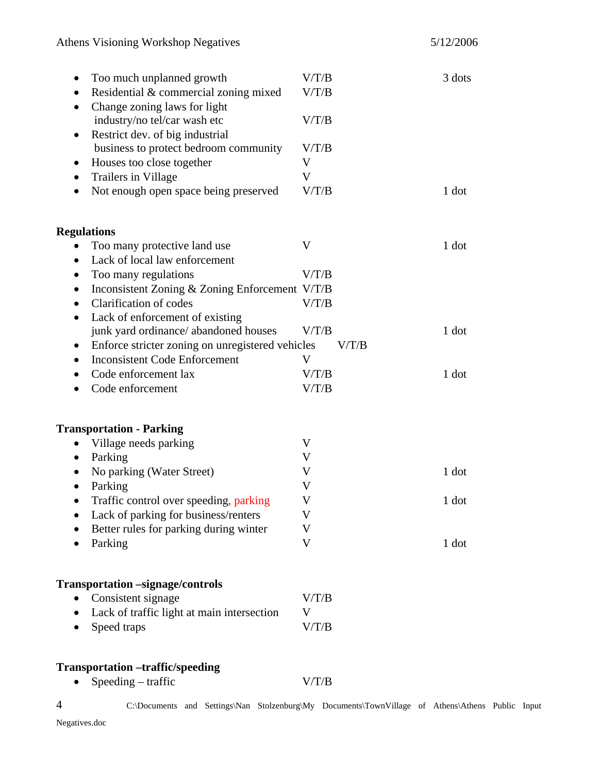| Too much unplanned growth<br>٠                        | V/T/B | 3 dots |
|-------------------------------------------------------|-------|--------|
| Residential & commercial zoning mixed<br>٠            | V/T/B |        |
| Change zoning laws for light                          |       |        |
| industry/no tel/car wash etc                          | V/T/B |        |
| Restrict dev. of big industrial<br>٠                  |       |        |
| business to protect bedroom community                 | V/T/B |        |
| Houses too close together<br>$\bullet$                | V     |        |
| Trailers in Village<br>٠                              | V     |        |
| Not enough open space being preserved                 | V/T/B | 1 dot  |
| <b>Regulations</b>                                    |       |        |
| Too many protective land use                          | V     | 1 dot  |
| Lack of local law enforcement<br>$\bullet$            |       |        |
| Too many regulations                                  | V/T/B |        |
| Inconsistent Zoning & Zoning Enforcement V/T/B<br>٠   |       |        |
| Clarification of codes<br>$\bullet$                   | V/T/B |        |
| Lack of enforcement of existing<br>٠                  |       |        |
| junk yard ordinance/ abandoned houses                 | V/T/B | 1 dot  |
| Enforce stricter zoning on unregistered vehicles<br>٠ | V/T/B |        |
| <b>Inconsistent Code Enforcement</b>                  | V     |        |
| Code enforcement lax                                  | V/T/B | 1 dot  |
| Code enforcement                                      | V/T/B |        |
| <b>Transportation - Parking</b>                       |       |        |
| Village needs parking<br>$\bullet$                    | V     |        |
| Parking<br>٠                                          | V     |        |
| No parking (Water Street)<br>٠                        | V     | 1 dot  |
| Parking                                               | V     |        |
| Traffic control over speeding, parking<br>$\bullet$   | V     | 1 dot  |
| Lack of parking for business/renters                  | V     |        |
| Better rules for parking during winter                | V     |        |
| Parking                                               | V     | 1 dot  |
|                                                       |       |        |
| <b>Transportation</b> -signage/controls               |       |        |
| Consistent signage                                    | V/T/B |        |
| Lack of traffic light at main intersection            | V     |        |
| Speed traps                                           | V/T/B |        |
| <b>Transportation -traffic/speeding</b>               |       |        |

• Speeding – traffic V/T/B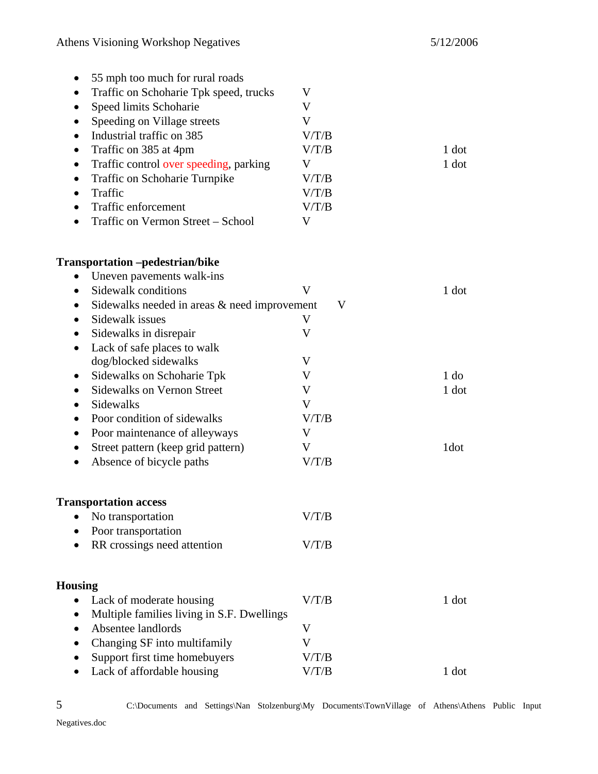| 55 mph too much for rural roads<br>٠<br>Traffic on Schoharie Tpk speed, trucks<br>٠<br>Speed limits Schoharie<br>٠<br>Speeding on Village streets<br>٠<br>Industrial traffic on 385<br>$\bullet$<br>Traffic on 385 at 4pm<br>٠<br>Traffic control over speeding, parking<br>$\bullet$<br>Traffic on Schoharie Turnpike<br>$\bullet$<br>Traffic<br>$\bullet$<br>Traffic enforcement<br>$\bullet$<br>Traffic on Vermon Street - School<br>$\bullet$ | V<br>V<br>V<br>V/T/B<br>V/T/B<br>V<br>V/T/B<br>V/T/B<br>V/T/B<br>V | 1 dot<br>$1$ dot |
|---------------------------------------------------------------------------------------------------------------------------------------------------------------------------------------------------------------------------------------------------------------------------------------------------------------------------------------------------------------------------------------------------------------------------------------------------|--------------------------------------------------------------------|------------------|
| <b>Transportation</b> -pedestrian/bike                                                                                                                                                                                                                                                                                                                                                                                                            |                                                                    |                  |
| Uneven pavements walk-ins<br>$\bullet$                                                                                                                                                                                                                                                                                                                                                                                                            |                                                                    |                  |
| Sidewalk conditions<br>$\bullet$                                                                                                                                                                                                                                                                                                                                                                                                                  | V                                                                  | 1 dot            |
| Sidewalks needed in areas & need improvement<br>$\bullet$                                                                                                                                                                                                                                                                                                                                                                                         | V                                                                  |                  |
| Sidewalk issues<br>$\bullet$                                                                                                                                                                                                                                                                                                                                                                                                                      | V                                                                  |                  |
| Sidewalks in disrepair<br>٠                                                                                                                                                                                                                                                                                                                                                                                                                       | V                                                                  |                  |
| Lack of safe places to walk<br>$\bullet$                                                                                                                                                                                                                                                                                                                                                                                                          |                                                                    |                  |
| dog/blocked sidewalks                                                                                                                                                                                                                                                                                                                                                                                                                             | V                                                                  |                  |
| Sidewalks on Schoharie Tpk<br>$\bullet$                                                                                                                                                                                                                                                                                                                                                                                                           | V                                                                  | 1 <sub>do</sub>  |
| <b>Sidewalks on Vernon Street</b><br>٠                                                                                                                                                                                                                                                                                                                                                                                                            | V                                                                  | 1 dot            |
| Sidewalks<br>$\bullet$                                                                                                                                                                                                                                                                                                                                                                                                                            | V                                                                  |                  |
| Poor condition of sidewalks<br>٠                                                                                                                                                                                                                                                                                                                                                                                                                  | V/T/B                                                              |                  |
| Poor maintenance of alleyways<br>٠                                                                                                                                                                                                                                                                                                                                                                                                                | V                                                                  |                  |
| Street pattern (keep grid pattern)<br>$\bullet$                                                                                                                                                                                                                                                                                                                                                                                                   | V                                                                  | 1dot             |
| Absence of bicycle paths                                                                                                                                                                                                                                                                                                                                                                                                                          | V/T/B                                                              |                  |
| <b>Transportation access</b>                                                                                                                                                                                                                                                                                                                                                                                                                      |                                                                    |                  |
| No transportation<br>$\bullet$                                                                                                                                                                                                                                                                                                                                                                                                                    | V/T/B                                                              |                  |
| Poor transportation                                                                                                                                                                                                                                                                                                                                                                                                                               |                                                                    |                  |
| RR crossings need attention                                                                                                                                                                                                                                                                                                                                                                                                                       | V/T/B                                                              |                  |
|                                                                                                                                                                                                                                                                                                                                                                                                                                                   |                                                                    |                  |
| Housing                                                                                                                                                                                                                                                                                                                                                                                                                                           |                                                                    |                  |
| Lack of moderate housing<br>$\bullet$                                                                                                                                                                                                                                                                                                                                                                                                             | V/T/B                                                              | $1$ dot          |
| Multiple families living in S.F. Dwellings                                                                                                                                                                                                                                                                                                                                                                                                        |                                                                    |                  |
| Absentee landlords                                                                                                                                                                                                                                                                                                                                                                                                                                | V                                                                  |                  |
| Changing SF into multifamily                                                                                                                                                                                                                                                                                                                                                                                                                      | V                                                                  |                  |
| Support first time homebuyers                                                                                                                                                                                                                                                                                                                                                                                                                     | V/T/B                                                              |                  |
| Lack of affordable housing                                                                                                                                                                                                                                                                                                                                                                                                                        | V/T/B                                                              | 1 dot            |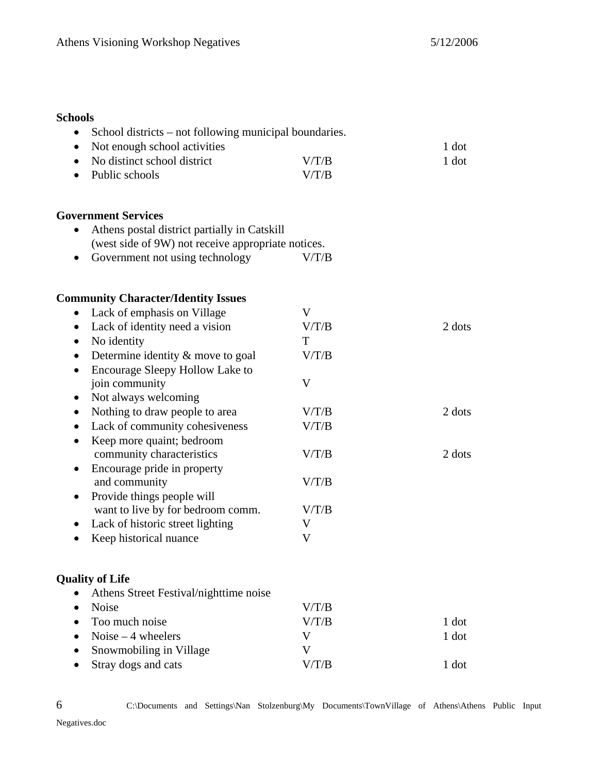### **Schools**

| School districts – not following municipal boundaries.<br>٠                                        |       |        |
|----------------------------------------------------------------------------------------------------|-------|--------|
| Not enough school activities<br>$\bullet$                                                          |       | 1 dot  |
| No distinct school district                                                                        | V/T/B | 1 dot  |
| Public schools<br>$\bullet$                                                                        | V/T/B |        |
| <b>Government Services</b>                                                                         |       |        |
| Athens postal district partially in Catskill<br>(west side of 9W) not receive appropriate notices. |       |        |
| Government not using technology<br>٠                                                               | V/T/B |        |
| <b>Community Character/Identity Issues</b>                                                         |       |        |
| Lack of emphasis on Village<br>$\bullet$                                                           | V     |        |
| Lack of identity need a vision<br>$\bullet$                                                        | V/T/B | 2 dots |
| No identity<br>٠                                                                                   | T     |        |
| Determine identity $&$ move to goal<br>٠                                                           | V/T/B |        |
| Encourage Sleepy Hollow Lake to<br>$\bullet$                                                       |       |        |
| join community                                                                                     | V     |        |
| Not always welcoming<br>٠                                                                          |       |        |
| Nothing to draw people to area<br>٠                                                                | V/T/B | 2 dots |
| Lack of community cohesiveness<br>٠                                                                | V/T/B |        |
| Keep more quaint; bedroom<br>$\bullet$                                                             |       |        |
| community characteristics                                                                          | V/T/B | 2 dots |
| Encourage pride in property                                                                        |       |        |
| and community                                                                                      | V/T/B |        |
| Provide things people will<br>$\bullet$                                                            |       |        |
| want to live by for bedroom comm.                                                                  | V/T/B |        |
| Lack of historic street lighting                                                                   | V     |        |
| Keep historical nuance                                                                             | V     |        |
| <b>Quality of Life</b>                                                                             |       |        |
| Athens Street Festival/nighttime noise                                                             |       |        |
| Noise                                                                                              | V/T/B |        |
| Too much noise                                                                                     | V/T/B | 1 dot  |
| Noise $-4$ wheelers                                                                                | V     | 1 dot  |
| Snowmobiling in Village                                                                            | V     |        |
| Stray dogs and cats                                                                                | V/T/B | 1 dot  |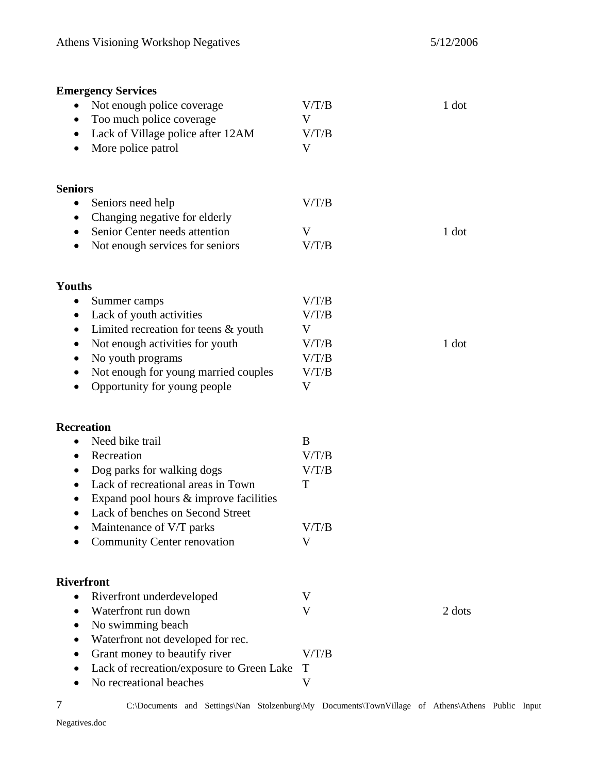| <b>Emergency Services</b>                           |       |        |
|-----------------------------------------------------|-------|--------|
| Not enough police coverage<br>$\bullet$             | V/T/B | 1 dot  |
| Too much police coverage<br>$\bullet$               | V     |        |
| Lack of Village police after 12AM<br>$\bullet$      | V/T/B |        |
| More police patrol                                  | V     |        |
| <b>Seniors</b>                                      |       |        |
| Seniors need help                                   | V/T/B |        |
| Changing negative for elderly<br>$\bullet$          |       |        |
| Senior Center needs attention                       | V     | 1 dot  |
| Not enough services for seniors<br>٠                | V/T/B |        |
| Youths                                              |       |        |
| Summer camps                                        | V/T/B |        |
| Lack of youth activities<br>$\bullet$               | V/T/B |        |
| Limited recreation for teens $&$ youth<br>٠         | V     |        |
| Not enough activities for youth                     | V/T/B | 1 dot  |
| No youth programs                                   | V/T/B |        |
| Not enough for young married couples                | V/T/B |        |
| Opportunity for young people<br>$\bullet$           | V     |        |
| <b>Recreation</b>                                   |       |        |
| Need bike trail                                     | B     |        |
| Recreation<br>$\bullet$                             | V/T/B |        |
| Dog parks for walking dogs<br>٠                     | V/T/B |        |
| Lack of recreational areas in Town                  | T     |        |
| Expand pool hours & improve facilities<br>$\bullet$ |       |        |
| Lack of benches on Second Street<br>$\bullet$       |       |        |
| Maintenance of V/T parks                            | V/T/B |        |
| <b>Community Center renovation</b>                  | V     |        |
| <b>Riverfront</b>                                   |       |        |
| Riverfront underdeveloped<br>$\bullet$              | V     |        |
| Waterfront run down<br>$\bullet$                    | V     | 2 dots |
| No swimming beach                                   |       |        |
| Waterfront not developed for rec.<br>$\bullet$      |       |        |
| Grant money to beautify river                       | V/T/B |        |
| Lack of recreation/exposure to Green Lake           | T     |        |
| No recreational beaches                             | V     |        |